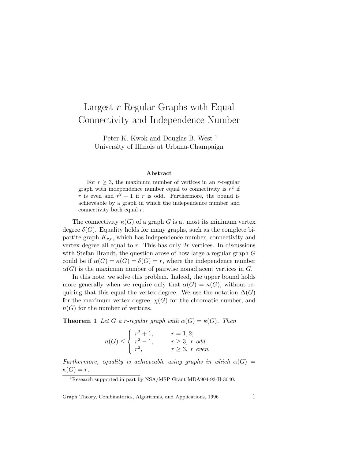## Largest  $r$ -Regular Graphs with Equal Connectivity and Independence Number

Peter K. Kwok and Douglas B. West<sup>1</sup> University of Illinois at Urbana-Champaign

## Abstract

For  $r \geq 3$ , the maximum number of vertices in an r-regular graph with independence number equal to connectivity is  $r^2$  if r is even and  $r^2 - 1$  if r is odd. Furthermore, the bound is achieveable by a graph in which the independence number and connectivity both equal r.

The connectivity  $\kappa(G)$  of a graph G is at most its minimum vertex degree  $\delta(G)$ . Equality holds for many graphs, such as the complete bipartite graph  $K_{r,r}$ , which has independence number, connectivity and vertex degree all equal to  $r$ . This has only  $2r$  vertices. In discussions with Stefan Brandt, the question arose of how large a regular graph G could be if  $\alpha(G) = \kappa(G) = \delta(G) = r$ , where the independence number  $\alpha(G)$  is the maximum number of pairwise nonadjacent vertices in G.

In this note, we solve this problem. Indeed, the upper bound holds more generally when we require only that  $\alpha(G) = \kappa(G)$ , without requiring that this equal the vertex degree. We use the notation  $\Delta(G)$ for the maximum vertex degree,  $\chi(G)$  for the chromatic number, and  $n(G)$  for the number of vertices.

**Theorem 1** Let G a r-regular graph with  $\alpha(G) = \kappa(G)$ . Then

$$
n(G) \le \begin{cases} r^2 + 1, & r = 1, 2; \\ r^2 - 1, & r \ge 3, r \text{ odd}; \\ r^2, & r \ge 3, r \text{ even}. \end{cases}
$$

Furthermore, equality is achieveable using graphs in which  $\alpha(G)$  =  $\kappa(G) = r.$ 

Graph Theory, Combinatorics, Algorithms, and Applications, 1996 1

<sup>&</sup>lt;sup>1</sup>Research supported in part by NSA/MSP Grant MDA904-93-H-3040.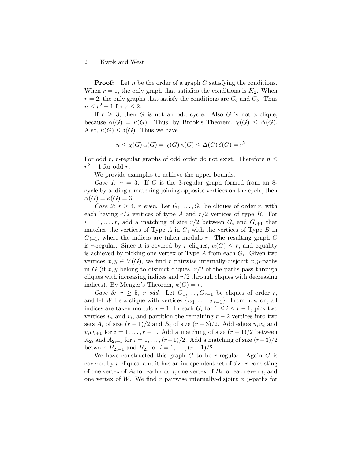## 2 Kwok and West

**Proof:** Let n be the order of a graph G satisfying the conditions. When  $r = 1$ , the only graph that satisfies the conditions is  $K_2$ . When  $r = 2$ , the only graphs that satisfy the conditions are  $C_4$  and  $C_5$ . Thus  $n \leq r^2 + 1$  for  $r \leq 2$ .

If  $r \geq 3$ , then G is not an odd cycle. Also G is not a clique, because  $\alpha(G) = \kappa(G)$ . Thus, by Brook's Theorem,  $\chi(G) \leq \Delta(G)$ . Also,  $\kappa(G) \leq \delta(G)$ . Thus we have

$$
n \le \chi(G) \alpha(G) = \chi(G) \kappa(G) \le \Delta(G) \delta(G) = r^2
$$

For odd r, r-regular graphs of odd order do not exist. Therefore  $n \leq$  $r^2-1$  for odd r.

We provide examples to achieve the upper bounds.

Case 1:  $r = 3$ . If G is the 3-regular graph formed from an 8cycle by adding a matching joining opposite vertices on the cycle, then  $\alpha(G) = \kappa(G) = 3.$ 

Case 2:  $r \geq 4$ , r even. Let  $G_1, \ldots, G_r$  be cliques of order r, with each having  $r/2$  vertices of type A and  $r/2$  vertices of type B. For  $i = 1, \ldots, r$ , add a matching of size  $r/2$  between  $G_i$  and  $G_{i+1}$  that matches the vertices of Type  $A$  in  $G_i$  with the vertices of Type  $B$  in  $G_{i+1}$ , where the indices are taken modulo r. The resulting graph G is r-regular. Since it is covered by r cliques,  $\alpha(G) \leq r$ , and equality is achieved by picking one vertex of Type  $A$  from each  $G_i$ . Given two vertices  $x, y \in V(G)$ , we find r pairwise internally-disjoint  $x, y$ -paths in G (if x, y belong to distinct cliques,  $r/2$  of the paths pass through cliques with increasing indices and  $r/2$  through cliques with decreasing indices). By Menger's Theorem,  $\kappa(G) = r$ .

Case 3:  $r \geq 5$ , r odd. Let  $G_1, \ldots, G_{r-1}$  be cliques of order r, and let W be a clique with vertices  $\{w_1, \ldots, w_{r-1}\}$ . From now on, all indices are taken modulo  $r - 1$ . In each  $G_i$  for  $1 \leq i \leq r - 1$ , pick two vertices  $u_i$  and  $v_i$ , and partition the remaining  $r-2$  vertices into two sets  $A_i$  of size  $(r-1)/2$  and  $B_i$  of size  $(r-3)/2$ . Add edges  $u_iw_i$  and  $v_iw_{i+1}$  for  $i = 1, \ldots, r-1$ . Add a matching of size  $(r-1)/2$  between  $A_{2i}$  and  $A_{2i+1}$  for  $i = 1, \ldots, (r-1)/2$ . Add a matching of size  $(r-3)/2$ between  $B_{2i-1}$  and  $B_{2i}$  for  $i = 1, ..., (r-1)/2$ .

We have constructed this graph  $G$  to be r-regular. Again  $G$  is covered by r cliques, and it has an independent set of size r consisting of one vertex of  $A_i$  for each odd i, one vertex of  $B_i$  for each even i, and one vertex of W. We find r pairwise internally-disjoint  $x, y$ -paths for